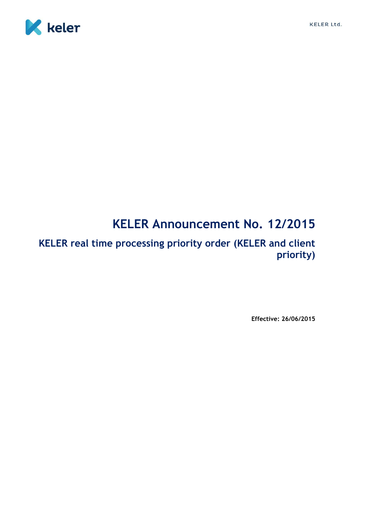



# **KELER Announcement No. 12/2015**

**KELER real time processing priority order (KELER and client priority)**

**Effective: 26/06/2015**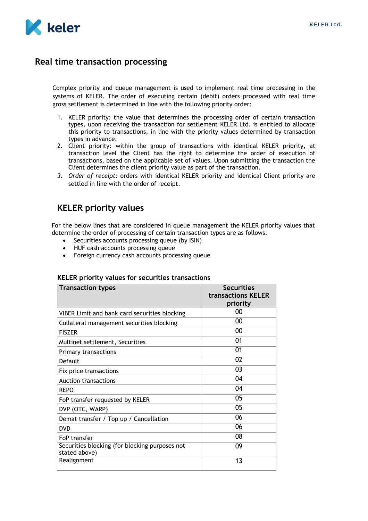

## **Real time transaction processing**

Complex priority and queue management is used to implement real time processing in the systems of KELER. The order of executing certain (debit) orders processed with real time gross settlement is determined in line with the following priority order:

- 1. KELER priority: the value that determines the processing order of certain transaction types, upon receiving the transaction for settlement KELER Ltd. is entitled to allocate this priority to transactions, in line with the priority values determined by transaction types in advance.
- 2. Client priority: within the group of transactions with identical KELER priority, at transaction level the Client has the right to determine the order of execution of transactions, based on the applicable set of values. Upon submitting the transaction the Client determines the client priority value as part of the transaction.
- *3. Order of receipt*: orders with identical KELER priority and identical Client priority are settled in line with the order of receipt.

## **KELER priority values**

For the below lines that are considered in queue management the KELER priority values that determine the order of processing of certain transaction types are as follows:

- Securities accounts processing queue (by ISIN)
- HUF cash accounts processing queue
- Foreign currency cash accounts processing queue

### **Transaction types Securities transactions KELER priority** VIBER Limit and bank card securities blocking  $\sim 00$ Collateral management securities blocking 00 FISZER 00 Multinet settlement, Securities 01 Primary transactions 01 Default **Default** 202 Fix price transactions 03 Auction transactions 04 REPO 64 FoP transfer requested by KELER 05 DVP (OTC, WARP) 05 Demat transfer / Top up / Cancellation 06 DVD 06 FoP transfer 08 Securities blocking (for blocking purposes not stated above) 09 Realignment 13

#### **KELER priority values for securities transactions**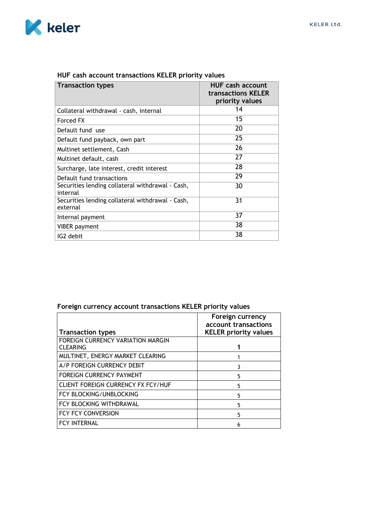

| <b>Transaction types</b>                                     | <b>HUF cash account</b><br>transactions KELER<br>priority values |
|--------------------------------------------------------------|------------------------------------------------------------------|
| Collateral withdrawal - cash, internal                       | 14                                                               |
| Forced FX                                                    | 15                                                               |
| Default fund use                                             | 20                                                               |
| Default fund payback, own part                               | 25                                                               |
| Multinet settlement, Cash                                    | 26                                                               |
| Multinet default, cash                                       | 27                                                               |
| Surcharge, late interest, credit interest                    | 28                                                               |
| Default fund transactions                                    | 29                                                               |
| Securities lending collateral withdrawal - Cash,<br>internal | 30                                                               |
| Securities lending collateral withdrawal - Cash,<br>external | 31                                                               |
| Internal payment                                             | 37                                                               |
| <b>VIBER</b> payment                                         | 38                                                               |
| IG2 debit                                                    | 38                                                               |

## **HUF cash account transactions KELER priority values**

## **Foreign currency account transactions KELER priority values**

|                                           | Foreign currency<br>account transactions |
|-------------------------------------------|------------------------------------------|
| <b>Transaction types</b>                  | <b>KELER priority values</b>             |
| FOREIGN CURRENCY VARIATION MARGIN         |                                          |
| <b>CLEARING</b>                           |                                          |
| MULTINET, ENERGY MARKET CLEARING          |                                          |
| A/P FOREIGN CURRENCY DEBIT                | ٦                                        |
| <b>FOREIGN CURRENCY PAYMENT</b>           | 5                                        |
| <b>CLIENT FOREIGN CURRENCY FX FCY/HUF</b> | 5                                        |
| FCY BLOCKING/UNBLOCKING                   | 5                                        |
| FCY BLOCKING WITHDRAWAL                   | 5                                        |
| FCY FCY CONVERSION                        | 5                                        |
| <b>FCY INTERNAL</b>                       | 6                                        |